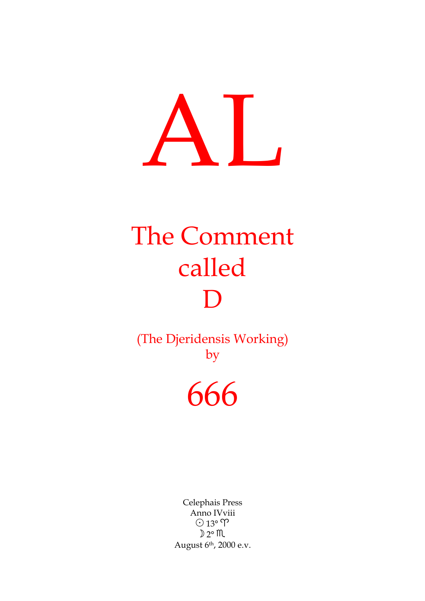# AL

## The Comment called D

(The Djeridensis Working) by

## 666

Celephais Press Anno IVviii  $\odot$  13°  $\Upsilon$  $D 2° M$ August 6th, 2000 e.v.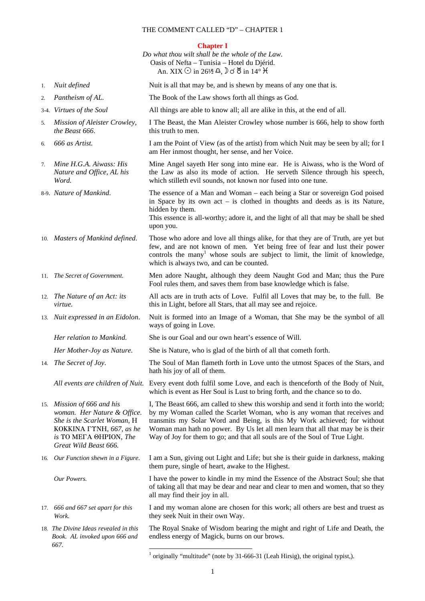### **Chapter I**

|     |                                                                                                                                                                         | Do what thou wilt shall be the whole of the Law.<br>Oasis of Nefta - Tunisia - Hotel du Djérid.<br>An. XIX $\odot$ in 26½ $\triangle$ , $\odot$ $\circ$ $\breve{\circ}$ in 14 $\circ$ $\breve{\circ}$                                                                                                                                                                                                        |
|-----|-------------------------------------------------------------------------------------------------------------------------------------------------------------------------|--------------------------------------------------------------------------------------------------------------------------------------------------------------------------------------------------------------------------------------------------------------------------------------------------------------------------------------------------------------------------------------------------------------|
| 1.  | Nuit defined                                                                                                                                                            | Nuit is all that may be, and is shewn by means of any one that is.                                                                                                                                                                                                                                                                                                                                           |
| 2.  | Pantheism of AL.                                                                                                                                                        | The Book of the Law shows forth all things as God.                                                                                                                                                                                                                                                                                                                                                           |
|     | 3-4. Virtues of the Soul                                                                                                                                                | All things are able to know all; all are alike in this, at the end of all.                                                                                                                                                                                                                                                                                                                                   |
| 5.  | Mission of Aleister Crowley,<br>the Beast 666.                                                                                                                          | I The Beast, the Man Aleister Crowley whose number is 666, help to show forth<br>this truth to men.                                                                                                                                                                                                                                                                                                          |
| 6.  | 666 as Artist.                                                                                                                                                          | I am the Point of View (as of the artist) from which Nuit may be seen by all; for I<br>am Her inmost thought, her sense, and her Voice.                                                                                                                                                                                                                                                                      |
| 7.  | Mine H.G.A. Aiwass: His<br>Nature and Office, AL his<br>Word.                                                                                                           | Mine Angel sayeth Her song into mine ear. He is Aiwass, who is the Word of<br>the Law as also its mode of action. He serveth Silence through his speech,<br>which stilleth evil sounds, not known nor fused into one tune.                                                                                                                                                                                   |
|     | 8-9. Nature of Mankind.                                                                                                                                                 | The essence of a Man and Woman – each being a Star or sovereign God poised<br>in Space by its own $act - is$ clothed in thoughts and deeds as is its Nature,<br>hidden by them.<br>This essence is all-worthy; adore it, and the light of all that may be shall be shed<br>upon you.                                                                                                                         |
|     | 10. Masters of Mankind defined.                                                                                                                                         | Those who adore and love all things alike, for that they are of Truth, are yet but<br>few, and are not known of men. Yet being free of fear and lust their power<br>controls the many <sup>1</sup> whose souls are subject to limit, the limit of knowledge,<br>which is always two, and can be counted.                                                                                                     |
|     | 11. The Secret of Government.                                                                                                                                           | Men adore Naught, although they deem Naught God and Man; thus the Pure<br>Fool rules them, and saves them from base knowledge which is false.                                                                                                                                                                                                                                                                |
|     | 12. The Nature of an Act: its<br><i>virtue.</i>                                                                                                                         | All acts are in truth acts of Love. Fulfil all Loves that may be, to the full. Be<br>this in Light, before all Stars, that all may see and rejoice.                                                                                                                                                                                                                                                          |
|     | 13. Nuit expressed in an Eidolon.                                                                                                                                       | Nuit is formed into an Image of a Woman, that She may be the symbol of all<br>ways of going in Love.                                                                                                                                                                                                                                                                                                         |
|     | Her relation to Mankind.                                                                                                                                                | She is our Goal and our own heart's essence of Will.                                                                                                                                                                                                                                                                                                                                                         |
|     | Her Mother-Joy as Nature.                                                                                                                                               | She is Nature, who is glad of the birth of all that cometh forth.                                                                                                                                                                                                                                                                                                                                            |
|     | 14. The Secret of Joy.                                                                                                                                                  | The Soul of Man flameth forth in Love unto the utmost Spaces of the Stars, and<br>hath his joy of all of them.                                                                                                                                                                                                                                                                                               |
|     | All events are children of Nuit.                                                                                                                                        | Every event doth fulfil some Love, and each is thenceforth of the Body of Nuit,<br>which is event as Her Soul is Lust to bring forth, and the chance so to do.                                                                                                                                                                                                                                               |
|     | 15. Mission of 666 and his<br>woman. Her Nature & Office.<br>She is the Scarlet Woman, H<br>KOKKINA LTNH, 667, as he<br>is TO META OHPION, The<br>Great Wild Beast 666. | I, The Beast 666, am called to shew this worship and send it forth into the world;<br>by my Woman called the Scarlet Woman, who is any woman that receives and<br>transmits my Solar Word and Being, is this My Work achieved; for without<br>Woman man hath no power. By Us let all men learn that all that may be is their<br>Way of Joy for them to go; and that all souls are of the Soul of True Light. |
|     | 16. Our Function shewn in a Figure.                                                                                                                                     | I am a Sun, giving out Light and Life; but she is their guide in darkness, making<br>them pure, single of heart, awake to the Highest.                                                                                                                                                                                                                                                                       |
|     | Our Powers.                                                                                                                                                             | I have the power to kindle in my mind the Essence of the Abstract Soul; she that<br>of taking all that may be dear and near and clear to men and women, that so they<br>all may find their joy in all.                                                                                                                                                                                                       |
| 17. | 666 and 667 set apart for this<br>Work.                                                                                                                                 | I and my woman alone are chosen for this work; all others are best and truest as<br>they seek Nuit in their own Way.                                                                                                                                                                                                                                                                                         |
|     | 18. The Divine Ideas revealed in this<br>Book. AL invoked upon 666 and<br>667.                                                                                          | The Royal Snake of Wisdom bearing the might and right of Life and Death, the<br>endless energy of Magick, burns on our brows.                                                                                                                                                                                                                                                                                |

 1 originally "multitude" (note by 31-666-31 (Leah Hirsig), the original typist,).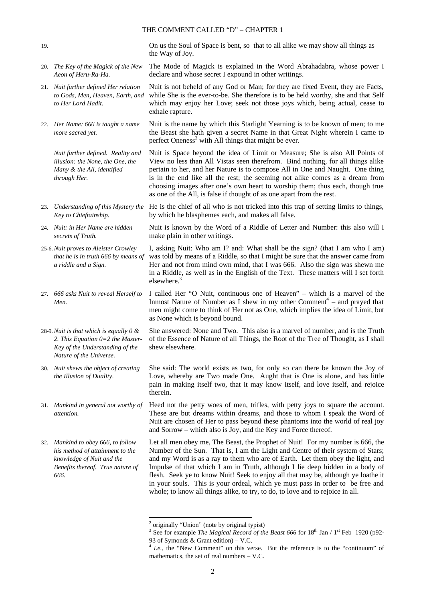19.

20. *The Key of the Magick of the New* 

- 21. *Nuit further defined Her relation to Gods, Men, Heaven, Earth, and to Her Lord Hadit*.
- 22. *Her Name: 666 is taught a name more sacred yet.*

*Nuit further defined. Reality and illusion: the None, the One, the Many & the All, identified through Her.*

- 23. *Understanding of this Mystery the Key to Chieftainship.*
- 24. *Nuit: in Her Name are hidden secrets of Truth.*
- 25-6.*Nuit proves to Aleister Crowley that he is in truth 666 by means of a riddle and a Sign.*
- 27. *666 asks Nuit to reveal Herself to Men.*

28-9.*Nuit is that which is equally 0 & 2. This Equation 0=2 the Master-Key of the Understanding of the Nature of the Universe.*

- 30. *Nuit shews the object of creating the Illusion of Duality*.
- 31. *Mankind in general not worthy of attention.*
- 32. *Mankind to obey 666, to follow his method of attainment to the knowledge of Nuit and the Benefits thereof. True nature of 666.*

On us the Soul of Space is bent, so that to all alike we may show all things as the Way of Joy.

*Aeon of Heru-Ra-Ha.* The Mode of Magick is explained in the Word Abrahadabra, whose power I declare and whose secret I expound in other writings.

> Nuit is not beheld of any God or Man; for they are fixed Event, they are Facts, while She is the ever-to-be. She therefore is to be held worthy, she and that Self which may enjoy her Love; seek not those joys which, being actual, cease to exhale rapture.

Nuit is the name by which this Starlight Yearning is to be known of men; to me the Beast she hath given a secret Name in that Great Night wherein I came to perfect Oneness<sup>2</sup> with All things that might be ever.

> Nuit is Space beyond the idea of Limit or Measure; She is also All Points of View no less than All Vistas seen therefrom. Bind nothing, for all things alike pertain to her, and her Nature is to compose All in One and Naught. One thing is in the end like all the rest; the seeming not alike comes as a dream from choosing images after one's own heart to worship them; thus each, though true as one of the All, is false if thought of as one apart from the rest.

He is the chief of all who is not tricked into this trap of setting limits to things, by which he blasphemes each, and makes all false.

> Nuit is known by the Word of a Riddle of Letter and Number: this also will I make plain in other writings.

I, asking Nuit: Who am I? and: What shall be the sign? (that I am who I am) was told by means of a Riddle, so that I might be sure that the answer came from Her and not from mind own mind, that I was 666. Also the sign was shewn me in a Riddle, as well as in the English of the Text. These matters will I set forth elsewhere.<sup>3</sup>

I called Her "O Nuit, continuous one of Heaven" – which is a marvel of the Inmost Nature of Number as I shew in my other Comment<sup>4</sup> – and prayed that men might come to think of Her not as One, which implies the idea of Limit, but as None which is beyond bound.

> She answered: None and Two. This also is a marvel of number, and is the Truth of the Essence of Nature of all Things, the Root of the Tree of Thought, as I shall shew elsewhere.

> She said: The world exists as two, for only so can there be known the Joy of Love, whereby are Two made One. Aught that is One is alone, and has little pain in making itself two, that it may know itself, and love itself, and rejoice therein.

Heed not the petty woes of men, trifles, with petty joys to square the account. These are but dreams within dreams, and those to whom I speak the Word of Nuit are chosen of Her to pass beyond these phantoms into the world of real joy and Sorrow – which also is Joy, and the Key and Force thereof.

Let all men obey me, The Beast, the Prophet of Nuit! For my number is 666, the Number of the Sun. That is, I am the Light and Centre of their system of Stars; and my Word is as a ray to them who are of Earth. Let them obey the light, and Impulse of that which I am in Truth, although I lie deep hidden in a body of flesh. Seek ye to know Nuit! Seek to enjoy all that may be, although ye loathe it in your souls. This is your ordeal, which ye must pass in order to be free and whole; to know all things alike, to try, to do, to love and to rejoice in all.

l

<sup>&</sup>lt;sup>2</sup> originally "Union" (note by original typist)

<sup>&</sup>lt;sup>3</sup> See for example *The Magical Record of the Beast* 666 for  $18^{th}$  Jan /  $1^{st}$  Feb 1920 (p92-93 of Symonds & Grant edition) – V.C.

<sup>&</sup>lt;sup>4</sup> *i.e.*, the "New Comment" on this verse. But the reference is to the "continuum" of mathematics, the set of real numbers – V.C.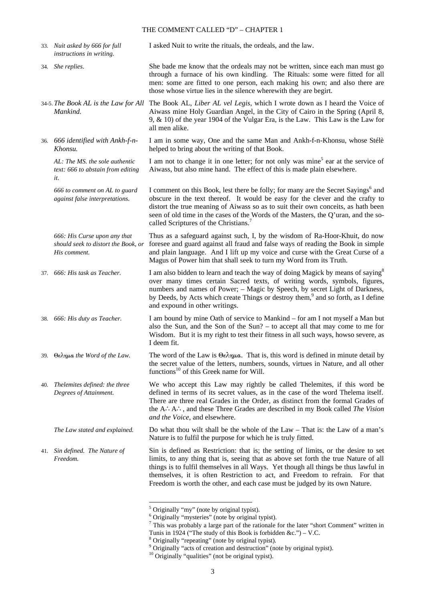|     | 33. Nuit asked by 666 for full<br>instructions in writing.                          | I asked Nuit to write the rituals, the ordeals, and the law.                                                                                                                                                                                                                                                                                                                                                                     |
|-----|-------------------------------------------------------------------------------------|----------------------------------------------------------------------------------------------------------------------------------------------------------------------------------------------------------------------------------------------------------------------------------------------------------------------------------------------------------------------------------------------------------------------------------|
|     | 34. She replies.                                                                    | She bade me know that the ordeals may not be written, since each man must go<br>through a furnace of his own kindling. The Rituals: some were fitted for all<br>men: some are fitted to one person, each making his own; and also there are<br>those whose virtue lies in the silence wherewith they are begirt.                                                                                                                 |
|     | 34-5. The Book AL is the Law for All<br>Mankind.                                    | The Book AL, Liber AL vel Legis, which I wrote down as I heard the Voice of<br>Aiwass mine Holy Guardian Angel, in the City of Cairo in the Spring (April 8,<br>9, $\&$ 10) of the year 1904 of the Vulgar Era, is the Law. This Law is the Law for<br>all men alike.                                                                                                                                                            |
|     | 36. 666 identified with Ankh-f-n-<br>Khonsu.                                        | I am in some way, One and the same Man and Ankh-f-n-Khonsu, whose Stélè<br>helped to bring about the writing of that Book.                                                                                                                                                                                                                                                                                                       |
|     | AL: The MS. the sole authentic<br>text: 666 to abstain from editing<br>it.          | I am not to change it in one letter; for not only was mine <sup>5</sup> ear at the service of<br>Aiwass, but also mine hand. The effect of this is made plain elsewhere.                                                                                                                                                                                                                                                         |
|     | 666 to comment on AL to guard<br>against false interpretations.                     | I comment on this Book, lest there be folly; for many are the Secret Sayings <sup>6</sup> and<br>obscure in the text thereof. It would be easy for the clever and the crafty to<br>distort the true meaning of Aiwass so as to suit their own conceits, as hath been<br>seen of old time in the cases of the Words of the Masters, the Q'uran, and the so-<br>called Scriptures of the Christians. <sup>7</sup>                  |
|     | 666: His Curse upon any that<br>should seek to distort the Book, or<br>His comment. | Thus as a safeguard against such, I, by the wisdom of Ra-Hoor-Khuit, do now<br>foresee and guard against all fraud and false ways of reading the Book in simple<br>and plain language. And I lift up my voice and curse with the Great Curse of a<br>Magus of Power him that shall seek to turn my Word from its Truth.                                                                                                          |
| 37. | 666: His task as Teacher.                                                           | I am also bidden to learn and teach the way of doing Magick by means of saying <sup>8</sup><br>over many times certain Sacred texts, of writing words, symbols, figures,<br>numbers and names of Power; - Magic by Speech, by secret Light of Darkness,<br>by Deeds, by Acts which create Things or destroy them, <sup>9</sup> and so forth, as I define<br>and expound in other writings.                                       |
|     | 38. 666: His duty as Teacher.                                                       | I am bound by mine Oath of service to Mankind – for am I not myself a Man but<br>also the Sun, and the Son of the Sun? – to accept all that may come to me for<br>Wisdom. But it is my right to test their fitness in all such ways, howso severe, as<br>I deem fit.                                                                                                                                                             |
|     | 39. Θελημα the Word of the Law.                                                     | The word of the Law is $\Theta \epsilon \lambda \eta \mu a$ . That is, this word is defined in minute detail by<br>the secret value of the letters, numbers, sounds, virtues in Nature, and all other<br>functions <sup>10</sup> of this Greek name for Will.                                                                                                                                                                    |
|     | 40. Thelemites defined: the three<br>Degrees of Attainment.                         | We who accept this Law may rightly be called Thelemites, if this word be<br>defined in terms of its secret values, as in the case of the word Thelema itself.<br>There are three real Grades in the Order, as distinct from the formal Grades of<br>the A.A.: and these Three Grades are described in my Book called The Vision<br>and the Voice, and elsewhere.                                                                 |
|     | The Law stated and explained.                                                       | Do what thou wilt shall be the whole of the Law – That is: the Law of a man's<br>Nature is to fulfil the purpose for which he is truly fitted.                                                                                                                                                                                                                                                                                   |
|     | 41. Sin defined. The Nature of<br>Freedom.                                          | Sin is defined as Restriction: that is; the setting of limits, or the desire to set<br>limits, to any thing that is, seeing that as above set forth the true Nature of all<br>things is to fulfil themselves in all Ways. Yet though all things be thus lawful in<br>themselves, it is often Restriction to act, and Freedom to refrain. For that<br>Freedom is worth the other, and each case must be judged by its own Nature. |

<sup>&</sup>lt;sup>5</sup> Originally "my" (note by original typist).<br>
<sup>6</sup> Originally "mysteries" (note by original typist).<br>
<sup>7</sup> This was probably a large part of the rationale for the later "short Comment" written in

Tunis in 1924 ("The study of this Book is forbidden &c.") – V.C.<br><sup>8</sup> Originally "repeating" (note by original typist).<br><sup>9</sup> Originally "acts of creation and destruction" (note by original typist).

<sup>&</sup>lt;sup>10</sup> Originally "qualities" (not be original typist).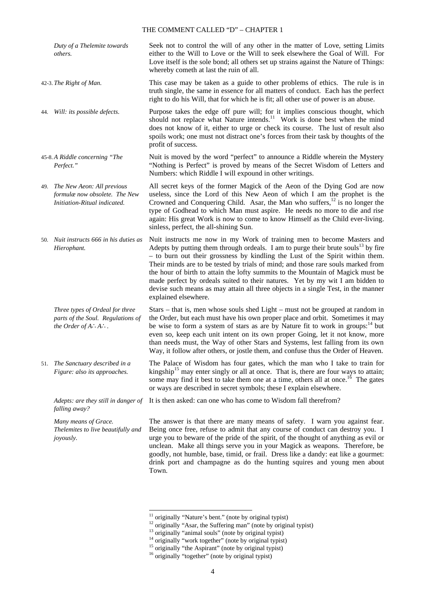*Duty of a Thelemite towards others.*

42-3. *The Right of Man.*

44. *Will: its possible defects.*

45-8. *A Riddle concerning "The Perfect."*

49. *The New Aeon: All previous formulæ now obsolete. The New Initiation-Ritual indicated.*

50. *Nuit instructs 666 in his duties as Hierophant.*

> *Three types of Ordeal for three parts of the Soul. Regulations of the Order of A*∴*A*∴*.*

51. *The Sanctuary described in a Figure: also its approaches.*

*falling away?*

*Many means of Grace. Thelemites to live beautifully and joyously.*

-

Seek not to control the will of any other in the matter of Love, setting Limits either to the Will to Love or the Will to seek elsewhere the Goal of Will. For Love itself is the sole bond; all others set up strains against the Nature of Things: whereby cometh at last the ruin of all.

This case may be taken as a guide to other problems of ethics. The rule is in truth single, the same in essence for all matters of conduct. Each has the perfect right to do his Will, that for which he is fit; all other use of power is an abuse.

Purpose takes the edge off pure will; for it implies conscious thought, which should not replace what Nature intends.<sup>11</sup> Work is done best when the mind does not know of it, either to urge or check its course. The lust of result also spoils work; one must not distract one's forces from their task by thoughts of the profit of success.

Nuit is moved by the word "perfect" to announce a Riddle wherein the Mystery "Nothing is Perfect" is proved by means of the Secret Wisdom of Letters and Numbers: which Riddle I will expound in other writings.

All secret keys of the former Magick of the Aeon of the Dying God are now useless, since the Lord of this New Aeon of which I am the prophet is the Crowned and Conquering Child. Asar, the Man who suffers,  $^{12}$  is no longer the type of Godhead to which Man must aspire. He needs no more to die and rise again: His great Work is now to come to know Himself as the Child ever-living. sinless, perfect, the all-shining Sun.

Nuit instructs me now in my Work of training men to become Masters and Adepts by putting them through ordeals. I am to purge their brute souls<sup>13</sup> by fire – to burn out their grossness by kindling the Lust of the Spirit within them. Their minds are to be tested by trials of mind; and those rare souls marked from the hour of birth to attain the lofty summits to the Mountain of Magick must be made perfect by ordeals suited to their natures. Yet by my wit I am bidden to devise such means as may attain all three objects in a single Test, in the manner explained elsewhere.

Stars – that is, men whose souls shed Light – must not be grouped at random in the Order, but each must have his own proper place and orbit. Sometimes it may be wise to form a system of stars as are by Nature fit to work in groups: $14$  but even so, keep each unit intent on its own proper Going, let it not know, more than needs must, the Way of other Stars and Systems, lest falling from its own Way, it follow after others, or jostle them, and confuse thus the Order of Heaven.

The Palace of Wisdom has four gates, which the man who I take to train for kingship<sup>15</sup> may enter singly or all at once. That is, there are four ways to attain; some may find it best to take them one at a time, others all at once.<sup>16</sup> The gates or ways are described in secret symbols; these I explain elsewhere.

*Adepts: are they still in danger of*  It is then asked: can one who has come to Wisdom fall therefrom?

The answer is that there are many means of safety. I warn you against fear. Being once free, refuse to admit that any course of conduct can destroy you. I urge you to beware of the pride of the spirit, of the thought of anything as evil or unclean. Make all things serve you in your Magick as weapons. Therefore, be goodly, not humble, base, timid, or frail. Dress like a dandy: eat like a gourmet: drink port and champagne as do the hunting squires and young men about Town.

 $11$  originally "Nature's bent." (note by original typist)

<sup>&</sup>lt;sup>12</sup> originally "Asar, the Suffering man" (note by original typist)

<sup>&</sup>lt;sup>13</sup> originally "animal souls" (note by original typist)

 $14$  originally "work together" (note by original typist)

<sup>&</sup>lt;sup>15</sup> originally "the Aspirant" (note by original typist)

<sup>&</sup>lt;sup>16</sup> originally "together" (note by original typist)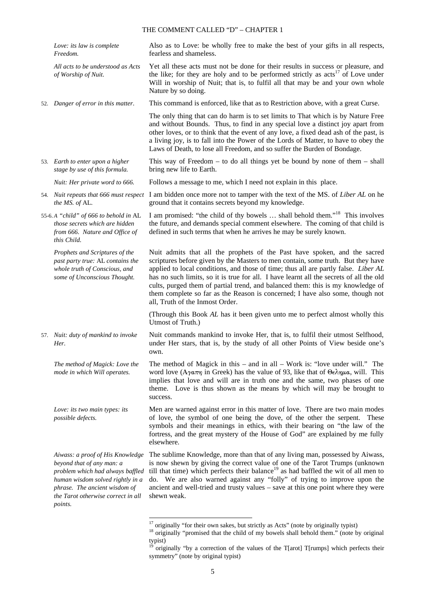| Love: its law is complete<br>Freedom.                                                                                                                                                                                          | Also as to Love: be wholly free to make the best of your gifts in all respects,<br>fearless and shameless.                                                                                                                                                                                                                                                                                                                                                                                                                                             |
|--------------------------------------------------------------------------------------------------------------------------------------------------------------------------------------------------------------------------------|--------------------------------------------------------------------------------------------------------------------------------------------------------------------------------------------------------------------------------------------------------------------------------------------------------------------------------------------------------------------------------------------------------------------------------------------------------------------------------------------------------------------------------------------------------|
| All acts to be understood as Acts<br>of Worship of Nuit.                                                                                                                                                                       | Yet all these acts must not be done for their results in success or pleasure, and<br>the like; for they are holy and to be performed strictly as acts <sup>17</sup> of Love under<br>Will in worship of Nuit; that is, to fulfil all that may be and your own whole<br>Nature by so doing.                                                                                                                                                                                                                                                             |
| 52. Danger of error in this matter.                                                                                                                                                                                            | This command is enforced, like that as to Restriction above, with a great Curse.                                                                                                                                                                                                                                                                                                                                                                                                                                                                       |
|                                                                                                                                                                                                                                | The only thing that can do harm is to set limits to That which is by Nature Free<br>and without Bounds. Thus, to find in any special love a distinct joy apart from<br>other loves, or to think that the event of any love, a fixed dead ash of the past, is<br>a living joy, is to fall into the Power of the Lords of Matter, to have to obey the<br>Laws of Death, to lose all Freedom, and so suffer the Burden of Bondage.                                                                                                                        |
| 53. Earth to enter upon a higher<br>stage by use of this formula.                                                                                                                                                              | This way of Freedom $-$ to do all things yet be bound by none of them $-$ shall<br>bring new life to Earth.                                                                                                                                                                                                                                                                                                                                                                                                                                            |
| Nuit: Her private word to 666.                                                                                                                                                                                                 | Follows a message to me, which I need not explain in this place.                                                                                                                                                                                                                                                                                                                                                                                                                                                                                       |
| the MS. of AL.                                                                                                                                                                                                                 | 54. Nuit repeats that 666 must respect I am bidden once more not to tamper with the text of the MS. of Liber AL on he<br>ground that it contains secrets beyond my knowledge.                                                                                                                                                                                                                                                                                                                                                                          |
| 55-6.A "child" of 666 to behold in AL<br>those secrets which are hidden<br>from 666. Nature and Office of<br>this Child.                                                                                                       | I am promised: "the child of thy bowels  shall behold them." <sup>18</sup> This involves<br>the future, and demands special comment elsewhere. The coming of that child is<br>defined in such terms that when he arrives he may be surely known.                                                                                                                                                                                                                                                                                                       |
| Prophets and Scriptures of the<br>past party true: AL contains the<br>whole truth of Conscious, and<br>some of Unconscious Thought.                                                                                            | Nuit admits that all the prophets of the Past have spoken, and the sacred<br>scriptures before given by the Masters to men contain, some truth. But they have<br>applied to local conditions, and those of time; thus all are partly false. Liber AL<br>has no such limits, so it is true for all. I have learnt all the secrets of all the old<br>cults, purged them of partial trend, and balanced them: this is my knowledge of<br>them complete so far as the Reason is concerned; I have also some, though not<br>all, Truth of the Inmost Order. |
|                                                                                                                                                                                                                                | (Through this Book AL has it been given unto me to perfect almost wholly this<br>Utmost of Truth.)                                                                                                                                                                                                                                                                                                                                                                                                                                                     |
| 57. Nuit: duty of mankind to invoke<br>Her.                                                                                                                                                                                    | Nuit commands mankind to invoke Her, that is, to fulfil their utmost Selfhood,<br>under Her stars, that is, by the study of all other Points of View beside one's<br>own.                                                                                                                                                                                                                                                                                                                                                                              |
| The method of Magick: Love the<br>mode in which Will operates.                                                                                                                                                                 | The method of Magick in this $-$ and in all $-$ Work is: "love under will." The<br>word love (A $\gamma a\pi\eta$ in Greek) has the value of 93, like that of $\Theta\epsilon\lambda\eta\mu a$ , will. This<br>implies that love and will are in truth one and the same, two phases of one<br>theme. Love is thus shown as the means by which will may be brought to<br>success.                                                                                                                                                                       |
| Love: its two main types: its<br>possible defects.                                                                                                                                                                             | Men are warned against error in this matter of love. There are two main modes<br>of love, the symbol of one being the dove, of the other the serpent.<br>These<br>symbols and their meanings in ethics, with their bearing on "the law of the<br>fortress, and the great mystery of the House of God" are explained by me fully<br>elsewhere.                                                                                                                                                                                                          |
| Aiwass: a proof of His Knowledge<br>beyond that of any man: a<br>problem which had always baffled<br>human wisdom solved rightly in a<br>phrase. The ancient wisdom of<br>the Tarot otherwise correct in all<br><i>points.</i> | The sublime Knowledge, more than that of any living man, possessed by Aiwass,<br>is now shewn by giving the correct value of one of the Tarot Trumps (unknown<br>till that time) which perfects their balance <sup>19</sup> as had baffled the wit of all men to<br>do. We are also warned against any "folly" of trying to improve upon the<br>ancient and well-tried and trusty values – save at this one point where they were<br>shewn weak.                                                                                                       |

 $17$  originally "for their own sakes, but strictly as Acts" (note by originally typist)

<sup>&</sup>lt;sup>18</sup> originally "promised that the child of my bowels shall behold them." (note by original typist)

 $19$  originally "by a correction of the values of the T[arot] T[rumps] which perfects their symmetry" (note by original typist)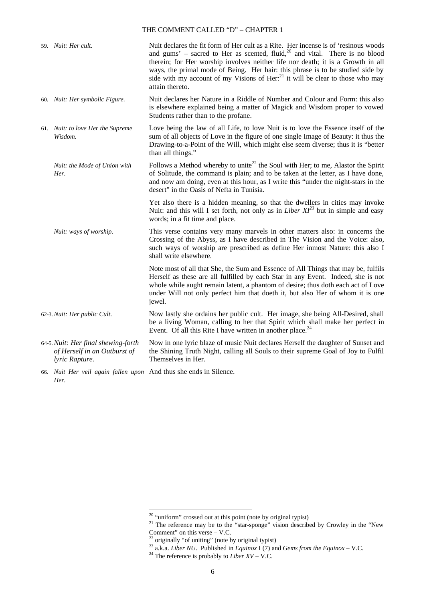|  | 59. Nuit: Her cult.                                                                                                                                                                                                                                                                                                     | Nuit declares the fit form of Her cult as a Rite. Her incense is of 'resinous woods<br>and gums' – sacred to Her as scented, fluid, <sup>20</sup> and vital. There is no blood<br>therein; for Her worship involves neither life nor death; it is a Growth in all<br>ways, the primal mode of Being. Her hair: this phrase is to be studied side by<br>side with my account of my Visions of Her: $^{21}$ it will be clear to those who may<br>attain thereto. |
|--|-------------------------------------------------------------------------------------------------------------------------------------------------------------------------------------------------------------------------------------------------------------------------------------------------------------------------|----------------------------------------------------------------------------------------------------------------------------------------------------------------------------------------------------------------------------------------------------------------------------------------------------------------------------------------------------------------------------------------------------------------------------------------------------------------|
|  | 60. Nuit: Her symbolic Figure.                                                                                                                                                                                                                                                                                          | Nuit declares her Nature in a Riddle of Number and Colour and Form: this also<br>is elsewhere explained being a matter of Magick and Wisdom proper to vowed<br>Students rather than to the profane.                                                                                                                                                                                                                                                            |
|  | 61. Nuit: to love Her the Supreme<br>Wisdom.                                                                                                                                                                                                                                                                            | Love being the law of all Life, to love Nuit is to love the Essence itself of the<br>sum of all objects of Love in the figure of one single Image of Beauty: it thus the<br>Drawing-to-a-Point of the Will, which might else seem diverse; thus it is "better<br>than all things."                                                                                                                                                                             |
|  | Nuit: the Mode of Union with<br>Her.                                                                                                                                                                                                                                                                                    | Follows a Method whereby to unite <sup>22</sup> the Soul with Her; to me, Alastor the Spirit<br>of Solitude, the command is plain; and to be taken at the letter, as I have done,<br>and now am doing, even at this hour, as I write this "under the night-stars in the<br>desert" in the Oasis of Nefta in Tunisia.                                                                                                                                           |
|  |                                                                                                                                                                                                                                                                                                                         | Yet also there is a hidden meaning, so that the dwellers in cities may invoke<br>Nuit: and this will I set forth, not only as in Liber $XI^{23}$ but in simple and easy<br>words; in a fit time and place.                                                                                                                                                                                                                                                     |
|  | Nuit: ways of worship.                                                                                                                                                                                                                                                                                                  | This verse contains very many marvels in other matters also: in concerns the<br>Crossing of the Abyss, as I have described in The Vision and the Voice: also,<br>such ways of worship are prescribed as define Her inmost Nature: this also I<br>shall write elsewhere.                                                                                                                                                                                        |
|  |                                                                                                                                                                                                                                                                                                                         | Note most of all that She, the Sum and Essence of All Things that may be, fulfils<br>Herself as these are all fulfilled by each Star in any Event. Indeed, she is not<br>whole while aught remain latent, a phantom of desire; thus doth each act of Love<br>under Will not only perfect him that doeth it, but also Her of whom it is one<br>jewel.                                                                                                           |
|  | 62-3. Nuit: Her public Cult.                                                                                                                                                                                                                                                                                            | Now lastly she ordains her public cult. Her image, she being All-Desired, shall<br>be a living Woman, calling to her that Spirit which shall make her perfect in<br>Event. Of all this Rite I have written in another place. <sup>24</sup>                                                                                                                                                                                                                     |
|  | 64-5. Nuit: Her final shewing-forth<br>of Herself in an Outburst of<br>lyric Rapture.                                                                                                                                                                                                                                   | Now in one lyric blaze of music Nuit declares Herself the daughter of Sunset and<br>the Shining Truth Night, calling all Souls to their supreme Goal of Joy to Fulfil<br>Themselves in Her.                                                                                                                                                                                                                                                                    |
|  | $\sim 1$ $\frac{1}{2}$ $\frac{1}{2}$ $\frac{1}{2}$ $\frac{1}{2}$ $\frac{1}{2}$ $\frac{1}{2}$ $\frac{1}{2}$ $\frac{1}{2}$ $\frac{1}{2}$ $\frac{1}{2}$ $\frac{1}{2}$ $\frac{1}{2}$ $\frac{1}{2}$ $\frac{1}{2}$ $\frac{1}{2}$ $\frac{1}{2}$ $\frac{1}{2}$ $\frac{1}{2}$ $\frac{1}{2}$ $\frac{1}{2}$ $\frac{1}{2}$ $\frac{$ | $A = 1, 1, , 1, , 1, 1, 1, , 0, 1, $                                                                                                                                                                                                                                                                                                                                                                                                                           |

66. *Nuit Her veil again fallen upon* And thus she ends in Silence. *Her.*

 $20$  "uniform" crossed out at this point (note by original typist)

 $21$  The reference may be to the "star-sponge" vision described by Crowley in the "New Comment" on this verse – V.C.

 $22$  originally "of uniting" (note by original typist)

<sup>23</sup> a.k.a. *Liber NU*. Published in *Equinox* I (7) and *Gems from the Equinox* – V.C.

 $^{24}$  The reference is probably to *Liber XV* – V.C.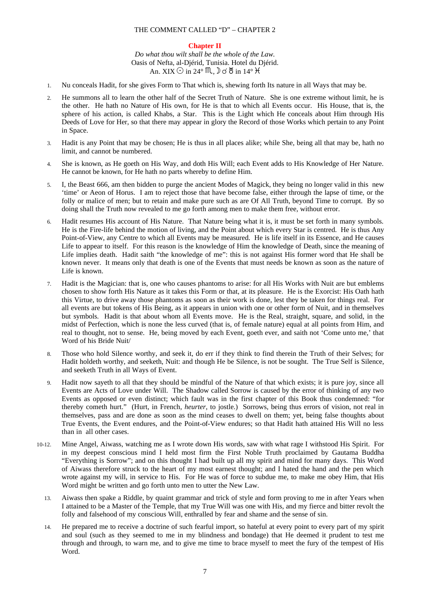#### **Chapter II**

*Do what thou wilt shall be the whole of the Law.* Oasis of Nefta, al-Djérid, Tunisia. Hotel du Djérid. An. XIX  $\odot$  in 24°  $\mathfrak{M}$ ,  $\mathfrak{d}$   $\otimes$  in 14°  $\mathfrak{H}$ 

- 1. Nu conceals Hadit, for she gives Form to That which is, shewing forth Its nature in all Ways that may be.
- 2. He summons all to learn the other half of the Secret Truth of Nature. She is one extreme without limit, he is the other. He hath no Nature of His own, for He is that to which all Events occur. His House, that is, the sphere of his action, is called Khabs, a Star. This is the Light which He conceals about Him through His Deeds of Love for Her, so that there may appear in glory the Record of those Works which pertain to any Point in Space.
- 3. Hadit is any Point that may be chosen; He is thus in all places alike; while She, being all that may be, hath no limit, and cannot be numbered.
- 4. She is known, as He goeth on His Way, and doth His Will; each Event adds to His Knowledge of Her Nature. He cannot be known, for He hath no parts whereby to define Him.
- 5. I, the Beast 666, am then bidden to purge the ancient Modes of Magick, they being no longer valid in this new 'time' or Aeon of Horus. I am to reject those that have become false, either through the lapse of time, or the folly or malice of men; but to retain and make pure such as are Of All Truth, beyond Time to corrupt. By so doing shall the Truth now revealed to me go forth among men to make them free, without error.
- 6. Hadit resumes His account of His Nature. That Nature being what it is, it must be set forth in many symbols. He is the Fire-life behind the motion of living, and the Point about which every Star is centred. He is thus Any Point-of-View, any Centre to which all Events may be measured. He is life itself in its Essence, and He causes Life to appear to itself. For this reason is the knowledge of Him the knowledge of Death, since the meaning of Life implies death. Hadit saith "the knowledge of me": this is not against His former word that He shall be known never. It means only that death is one of the Events that must needs be known as soon as the nature of Life is known.
- 7. Hadit is the Magician: that is, one who causes phantoms to arise: for all His Works with Nuit are but emblems chosen to show forth His Nature as it takes this Form or that, at its pleasure. He is the Exorcist: His Oath hath this Virtue, to drive away those phantoms as soon as their work is done, lest they be taken for things real. For all events are but tokens of His Being, as it appears in union with one or other form of Nuit, and in themselves but symbols. Hadit is that about whom all Events move. He is the Real, straight, square, and solid, in the midst of Perfection, which is none the less curved (that is, of female nature) equal at all points from Him, and real to thought, not to sense. He, being moved by each Event, goeth ever, and saith not 'Come unto me,' that Word of his Bride Nuit/
- 8. Those who hold Silence worthy, and seek it, do err if they think to find therein the Truth of their Selves; for Hadit holdeth worthy, and seeketh, Nuit: and though He be Silence, is not be sought. The True Self is Silence, and seeketh Truth in all Ways of Event.
- 9. Hadit now sayeth to all that they should be mindful of the Nature of that which exists; it is pure joy, since all Events are Acts of Love under Will. The Shadow called Sorrow is caused by the error of thinking of any two Events as opposed or even distinct; which fault was in the first chapter of this Book thus condemned: "for thereby cometh hurt." (Hurt, in French, *heurter*, to jostle.) Sorrows, being thus errors of vision, not real in themselves, pass and are done as soon as the mind ceases to dwell on them; yet, being false thoughts about True Events, the Event endures, and the Point-of-View endures; so that Hadit hath attained His Will no less than in all other cases.
- 10-12. Mine Angel, Aiwass, watching me as I wrote down His words, saw with what rage I withstood His Spirit. For in my deepest conscious mind I held most firm the First Noble Truth proclaimed by Gautama Buddha "Everything is Sorrow"; and on this thought I had built up all my spirit and mind for many days. This Word of Aiwass therefore struck to the heart of my most earnest thought; and I hated the hand and the pen which wrote against my will, in service to His. For He was of force to subdue me, to make me obey Him, that His Word might be written and go forth unto men to utter the New Law.
	- 13. Aiwass then spake a Riddle, by quaint grammar and trick of style and form proving to me in after Years when I attained to be a Master of the Temple, that my True Will was one with His, and my fierce and bitter revolt the folly and falsehood of my conscious Will, enthralled by fear and shame and the sense of sin.
	- 14. He prepared me to receive a doctrine of such fearful import, so hateful at every point to every part of my spirit and soul (such as they seemed to me in my blindness and bondage) that He deemed it prudent to test me through and through, to warn me, and to give me time to brace myself to meet the fury of the tempest of His Word.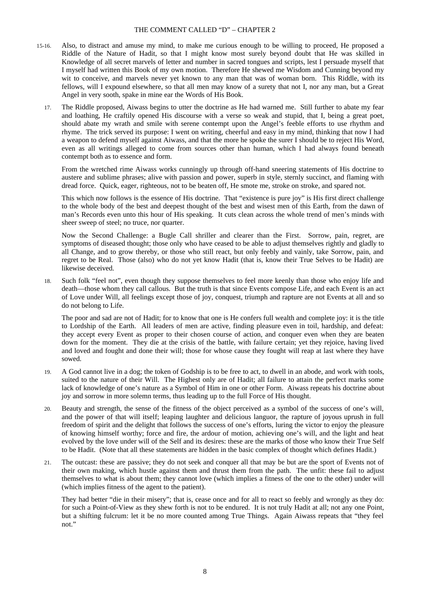- 15-16. Also, to distract and amuse my mind, to make me curious enough to be willing to proceed, He proposed a Riddle of the Nature of Hadit, so that I might know most surely beyond doubt that He was skilled in Knowledge of all secret marvels of letter and number in sacred tongues and scripts, lest I persuade myself that I myself had written this Book of my own motion. Therefore He shewed me Wisdom and Cunning beyond my wit to conceive, and marvels never yet known to any man that was of woman born. This Riddle, with its fellows, will I expound elsewhere, so that all men may know of a surety that not I, nor any man, but a Great Angel in very sooth, spake in mine ear the Words of His Book.
	- 17. The Riddle proposed, Aiwass begins to utter the doctrine as He had warned me. Still further to abate my fear and loathing, He craftily opened His discourse with a verse so weak and stupid, that I, being a great poet, should abate my wrath and smile with serene contempt upon the Angel's feeble efforts to use rhythm and rhyme. The trick served its purpose: I went on writing, cheerful and easy in my mind, thinking that now I had a weapon to defend myself against Aiwass, and that the more he spoke the surer I should be to reject His Word, even as all writings alleged to come from sources other than human, which I had always found beneath contempt both as to essence and form.

From the wretched rime Aiwass works cunningly up through off-hand sneering statements of His doctrine to austere and sublime phrases; alive with passion and power, superb in style, sternly succinct, and flaming with dread force. Quick, eager, righteous, not to be beaten off, He smote me, stroke on stroke, and spared not.

This which now follows is the essence of His doctrine. That "existence is pure joy" is His first direct challenge to the whole body of the best and deepest thought of the best and wisest men of this Earth, from the dawn of man's Records even unto this hour of His speaking. It cuts clean across the whole trend of men's minds with sheer sweep of steel; no truce, nor quarter.

Now the Second Challenge: a Bugle Call shriller and clearer than the First. Sorrow, pain, regret, are symptoms of diseased thought; those only who have ceased to be able to adjust themselves rightly and gladly to all Change, and to grow thereby, or those who still react, but only feebly and vainly, take Sorrow, pain, and regret to be Real. Those (also) who do not yet know Hadit (that is, know their True Selves to be Hadit) are likewise deceived.

18. Such folk "feel not", even though they suppose themselves to feel more keenly than those who enjoy life and death—those whom they call callous. But the truth is that since Events compose Life, and each Event is an act of Love under Will, all feelings except those of joy, conquest, triumph and rapture are not Events at all and so do not belong to Life.

The poor and sad are not of Hadit; for to know that one is He confers full wealth and complete joy: it is the title to Lordship of the Earth. All leaders of men are active, finding pleasure even in toil, hardship, and defeat: they accept every Event as proper to their chosen course of action, and conquer even when they are beaten down for the moment. They die at the crisis of the battle, with failure certain; yet they rejoice, having lived and loved and fought and done their will; those for whose cause they fought will reap at last where they have sowed.

- 19. A God cannot live in a dog; the token of Godship is to be free to act, to dwell in an abode, and work with tools, suited to the nature of their Will. The Highest only are of Hadit; all failure to attain the perfect marks some lack of knowledge of one's nature as a Symbol of Him in one or other Form. Aiwass repeats his doctrine about joy and sorrow in more solemn terms, thus leading up to the full Force of His thought.
- 20. Beauty and strength, the sense of the fitness of the object perceived as a symbol of the success of one's will, and the power of that will itself; leaping laughter and delicious languor, the rapture of joyous uprush in full freedom of spirit and the delight that follows the success of one's efforts, luring the victor to enjoy the pleasure of knowing himself worthy; force and fire, the ardour of motion, achieving one's will, and the light and heat evolved by the love under will of the Self and its desires: these are the marks of those who know their True Self to be Hadit. (Note that all these statements are hidden in the basic complex of thought which defines Hadit.)
- 21. The outcast: these are passive; they do not seek and conquer all that may be but are the sport of Events not of their own making, which hustle against them and thrust them from the path. The unfit: these fail to adjust themselves to what is about them; they cannot love (which implies a fitness of the one to the other) under will (which implies fitness of the agent to the patient).

They had better "die in their misery"; that is, cease once and for all to react so feebly and wrongly as they do: for such a Point-of-View as they shew forth is not to be endured. It is not truly Hadit at all; not any one Point, but a shifting fulcrum: let it be no more counted among True Things. Again Aiwass repeats that "they feel not."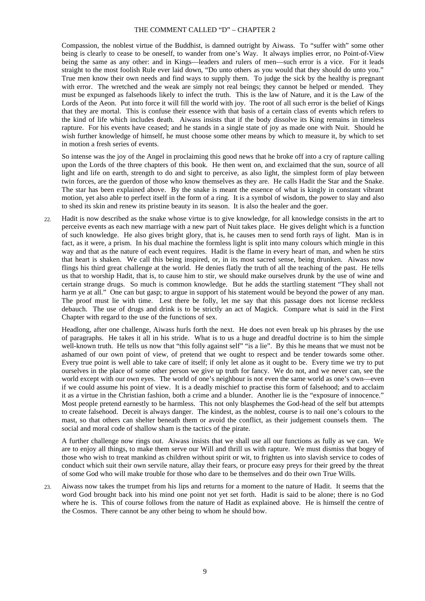Compassion, the noblest virtue of the Buddhist, is damned outright by Aiwass. To "suffer with" some other being is clearly to cease to be oneself, to wander from one's Way. It always implies error, no Point-of-View being the same as any other: and in Kings—leaders and rulers of men—such error is a vice. For it leads straight to the most foolish Rule ever laid down, "Do unto others as you would that they should do unto you." True men know their own needs and find ways to supply them. To judge the sick by the healthy is pregnant with error. The wretched and the weak are simply not real beings; they cannot be helped or mended. They must be expunged as falsehoods likely to infect the truth. This is the law of Nature, and it is the Law of the Lords of the Aeon. Put into force it will fill the world with joy. The root of all such error is the belief of Kings that they are mortal. This is confuse their essence with that basis of a certain class of events which refers to the kind of life which includes death. Aiwass insists that if the body dissolve its King remains in timeless rapture. For his events have ceased; and he stands in a single state of joy as made one with Nuit. Should he wish further knowledge of himself, he must choose some other means by which to measure it, by which to set in motion a fresh series of events.

So intense was the joy of the Angel in proclaiming this good news that he broke off into a cry of rapture calling upon the Lords of the three chapters of this book. He then went on, and exclaimed that the sun, source of all light and life on earth, strength to do and sight to perceive, as also light, the simplest form of play between twin forces, are the guerdon of those who know themselves as they are. He calls Hadit the Star and the Snake. The star has been explained above. By the snake is meant the essence of what is kingly in constant vibrant motion, yet also able to perfect itself in the form of a ring. It is a symbol of wisdom, the power to slay and also to shed its skin and renew its pristine beauty in its season. It is also the healer and the goer.

 $22.2$ Hadit is now described as the snake whose virtue is to give knowledge, for all knowledge consists in the art to perceive events as each new marriage with a new part of Nuit takes place. He gives delight which is a function of such knowledge. He also gives bright glory, that is, he causes men to send forth rays of light. Man is in fact, as it were, a prism. In his dual machine the formless light is split into many colours which mingle in this way and that as the nature of each event requires. Hadit is the flame in every heart of man, and when he stirs that heart is shaken. We call this being inspired, or, in its most sacred sense, being drunken. Aiwass now flings his third great challenge at the world. He denies flatly the truth of all the teaching of the past. He tells us that to worship Hadit, that is, to cause him to stir, we should make ourselves drunk by the use of wine and certain strange drugs. So much is common knowledge. But he adds the startling statement "They shall not harm ye at all." One can but gasp; to argue in support of his statement would be beyond the power of any man. The proof must lie with time. Lest there be folly, let me say that this passage does not license reckless debauch. The use of drugs and drink is to be strictly an act of Magick. Compare what is said in the First Chapter with regard to the use of the functions of sex.

Headlong, after one challenge, Aiwass hurls forth the next. He does not even break up his phrases by the use of paragraphs. He takes it all in his stride. What is to us a huge and dreadful doctrine is to him the simple well-known truth. He tells us now that "this folly against self" "is a lie". By this he means that we must not be ashamed of our own point of view, of pretend that we ought to respect and be tender towards some other. Every true point is well able to take care of itself; if only let alone as it ought to be. Every time we try to put ourselves in the place of some other person we give up truth for fancy. We do not, and we never can, see the world except with our own eyes. The world of one's neighbour is not even the same world as one's own—even if we could assume his point of view. It is a deadly mischief to practise this form of falsehood; and to acclaim it as a virtue in the Christian fashion, both a crime and a blunder. Another lie is the "exposure of innocence." Most people pretend earnestly to be harmless. This not only blasphemes the God-head of the self but attempts to create falsehood. Deceit is always danger. The kindest, as the noblest, course is to nail one's colours to the mast, so that others can shelter beneath them or avoid the conflict, as their judgement counsels them. The social and moral code of shallow sham is the tactics of the pirate.

A further challenge now rings out. Aiwass insists that we shall use all our functions as fully as we can. We are to enjoy all things, to make them serve our Will and thrill us with rapture. We must dismiss that bogey of those who wish to treat mankind as children without spirit or wit, to frighten us into slavish service to codes of conduct which suit their own servile nature, allay their fears, or procure easy preys for their greed by the threat of some God who will make trouble for those who dare to be themselves and do their own True Wills.

23. Aiwass now takes the trumpet from his lips and returns for a moment to the nature of Hadit. It seems that the word God brought back into his mind one point not yet set forth. Hadit is said to be alone; there is no God where he is. This of course follows from the nature of Hadit as explained above. He is himself the centre of the Cosmos. There cannot be any other being to whom he should bow.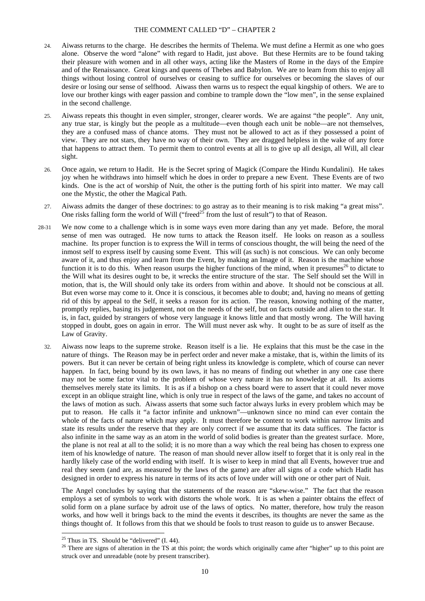- $24.$ Aiwass returns to the charge. He describes the hermits of Thelema. We must define a Hermit as one who goes alone. Observe the word "alone" with regard to Hadit, just above. But these Hermits are to be found taking their pleasure with women and in all other ways, acting like the Masters of Rome in the days of the Empire and of the Renaissance. Great kings and queens of Thebes and Babylon. We are to learn from this to enjoy all things without losing control of ourselves or ceasing to suffice for ourselves or becoming the slaves of our desire or losing our sense of selfhood. Aiwass then warns us to respect the equal kingship of others. We are to love our brother kings with eager passion and combine to trample down the "low men", in the sense explained in the second challenge.
- $25.$ Aiwass repeats this thought in even simpler, stronger, clearer words. We are against "the people". Any unit, any true star, is kingly but the people as a multitude—even though each unit be noble—are not themselves, they are a confused mass of chance atoms. They must not be allowed to act as if they possessed a point of view. They are not stars, they have no way of their own. They are dragged helpless in the wake of any force that happens to attract them. To permit them to control events at all is to give up all design, all Will, all clear sight.
- 26. Once again, we return to Hadit. He is the Secret spring of Magick (Compare the Hindu Kundalini). He takes joy when he withdraws into himself which he does in order to prepare a new Event. These Events are of two kinds. One is the act of worship of Nuit, the other is the putting forth of his spirit into matter. We may call one the Mystic, the other the Magical Path.
- 27. Aiwass admits the danger of these doctrines: to go astray as to their meaning is to risk making "a great miss". One risks falling form the world of Will ("freed<sup>25</sup> from the lust of result") to that of Reason.
- 28-31 We now come to a challenge which is in some ways even more daring than any yet made. Before, the moral sense of men was outraged. He now turns to attack the Reason itself. He looks on reason as a soulless machine. Its proper function is to express the Will in terms of conscious thought, the will being the need of the inmost self to express itself by causing some Event. This will (as such) is not conscious. We can only become aware of it, and thus enjoy and learn from the Event, by making an Image of it. Reason is the machine whose function it is to do this. When reason usurps the higher functions of the mind, when it presumes<sup>26</sup> to dictate to the Will what its desires ought to be, it wrecks the entire structure of the star. The Self should set the Will in motion, that is, the Will should only take its orders from within and above. It should not be conscious at all. But even worse may come to it. Once it is conscious, it becomes able to doubt; and, having no means of getting rid of this by appeal to the Self, it seeks a reason for its action. The reason, knowing nothing of the matter, promptly replies, basing its judgement, not on the needs of the self, but on facts outside and alien to the star. It is, in fact, guided by strangers of whose very language it knows little and that mostly wrong. The Will having stopped in doubt, goes on again in error. The Will must never ask why. It ought to be as sure of itself as the Law of Gravity.
	- 32. Aiwass now leaps to the supreme stroke. Reason itself is a lie. He explains that this must be the case in the nature of things. The Reason may be in perfect order and never make a mistake, that is, within the limits of its powers. But it can never be certain of being right unless its knowledge is complete, which of course can never happen. In fact, being bound by its own laws, it has no means of finding out whether in any one case there may not be some factor vital to the problem of whose very nature it has no knowledge at all. Its axioms themselves merely state its limits. It is as if a bishop on a chess board were to assert that it could never move except in an oblique straight line, which is only true in respect of the laws of the game, and takes no account of the laws of motion as such. Aiwass asserts that some such factor always lurks in every problem which may be put to reason. He calls it "a factor infinite and unknown"—unknown since no mind can ever contain the whole of the facts of nature which may apply. It must therefore be content to work within narrow limits and state its results under the reserve that they are only correct if we assume that its data suffices. The factor is also infinite in the same way as an atom in the world of solid bodies is greater than the greatest surface. More, the plane is not real at all to the solid; it is no more than a way which the real being has chosen to express one item of his knowledge of nature. The reason of man should never allow itself to forget that it is only real in the hardly likely case of the world ending with itself. It is wiser to keep in mind that all Events, however true and real they seem (and are, as measured by the laws of the game) are after all signs of a code which Hadit has designed in order to express his nature in terms of its acts of love under will with one or other part of Nuit.

The Angel concludes by saying that the statements of the reason are "skew-wise." The fact that the reason employs a set of symbols to work with distorts the whole work. It is as when a painter obtains the effect of solid form on a plane surface by adroit use of the laws of optics. No matter, therefore, how truly the reason works, and how well it brings back to the mind the events it describes, its thoughts are never the same as the things thought of. It follows from this that we should be fools to trust reason to guide us to answer Because.

<sup>-</sup> $25$  Thus in TS. Should be "delivered" (I. 44).

<sup>&</sup>lt;sup>26</sup> There are signs of alteration in the TS at this point; the words which originally came after "higher" up to this point are struck over and unreadable (note by present transcriber).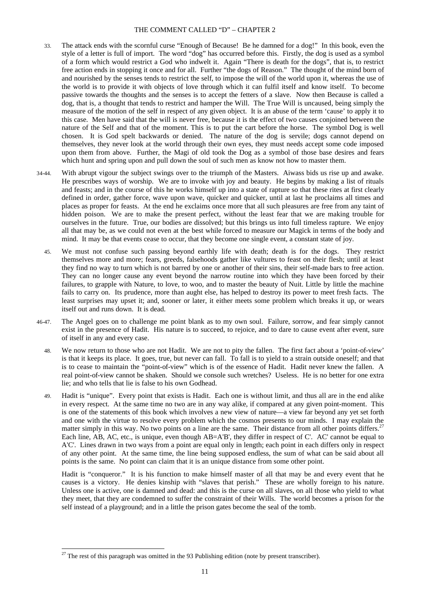- 33. The attack ends with the scornful curse "Enough of Because! Be he damned for a dog!" In this book, even the style of a letter is full of import. The word "dog" has occurred before this. Firstly, the dog is used as a symbol of a form which would restrict a God who indwelt it. Again "There is death for the dogs", that is, to restrict free action ends in stopping it once and for all. Further "the dogs of Reason." The thought of the mind born of and nourished by the senses tends to restrict the self, to impose the will of the world upon it, whereas the use of the world is to provide it with objects of love through which it can fulfil itself and know itself. To become passive towards the thoughts and the senses is to accept the fetters of a slave. Now then Because is called a dog, that is, a thought that tends to restrict and hamper the Will. The True Will is uncaused, being simply the measure of the motion of the self in respect of any given object. It is an abuse of the term 'cause' to apply it to this case. Men have said that the will is never free, because it is the effect of two causes conjoined between the nature of the Self and that of the moment. This is to put the cart before the horse. The symbol Dog is well chosen. It is God spelt backwards or denied. The nature of the dog is servile; dogs cannot depend on themselves, they never look at the world through their own eyes, they must needs accept some code imposed upon them from above. Further, the Magi of old took the Dog as a symbol of those base desires and fears which hunt and spring upon and pull down the soul of such men as know not how to master them.
- 34-44. With abrupt vigour the subject swings over to the triumph of the Masters. Aiwass bids us rise up and awake. He prescribes ways of worship. We are to invoke with joy and beauty. He begins by making a list of rituals and feasts; and in the course of this he works himself up into a state of rapture so that these rites at first clearly defined in order, gather force, wave upon wave, quicker and quicker, until at last he proclaims all times and places as proper for feasts. At the end he exclaims once more that all such pleasures are free from any taint of hidden poison. We are to make the present perfect, without the least fear that we are making trouble for ourselves in the future. True, our bodies are dissolved; but this brings us into full timeless rapture. We enjoy all that may be, as we could not even at the best while forced to measure our Magick in terms of the body and mind. It may be that events cease to occur, that they become one single event, a constant state of joy.
	- 45. We must not confuse such passing beyond earthly life with death; death is for the dogs. They restrict themselves more and more; fears, greeds, falsehoods gather like vultures to feast on their flesh; until at least they find no way to turn which is not barred by one or another of their sins, their self-made bars to free action. They can no longer cause any event beyond the narrow routine into which they have been forced by their failures, to grapple with Nature, to love, to woo, and to master the beauty of Nuit. Little by little the machine fails to carry on. Its prudence, more than aught else, has helped to destroy its power to meet fresh facts. The least surprises may upset it; and, sooner or later, it either meets some problem which breaks it up, or wears itself out and runs down. It is dead.
- 46-47. The Angel goes on to challenge me point blank as to my own soul. Failure, sorrow, and fear simply cannot exist in the presence of Hadit. His nature is to succeed, to rejoice, and to dare to cause event after event, sure of itself in any and every case.
	- 48. We now return to those who are not Hadit. We are not to pity the fallen. The first fact about a 'point-of-view' is that it keeps its place. It goes, true, but never can fall. To fall is to yield to a strain outside oneself; and that is to cease to maintain the "point-of-view" which is of the essence of Hadit. Hadit never knew the fallen. A real point-of-view cannot be shaken. Should we console such wretches? Useless. He is no better for one extra lie; and who tells that lie is false to his own Godhead.
	- 49. Hadit is "unique". Every point that exists is Hadit. Each one is without limit, and thus all are in the end alike in every respect. At the same time no two are in any way alike, if compared at any given point-moment. This is one of the statements of this book which involves a new view of nature—a view far beyond any yet set forth and one with the virtue to resolve every problem which the cosmos presents to our minds. I may explain the matter simply in this way. No two points on a line are the same. Their distance from all other points differs.<sup>27</sup> Each line, AB, AC, etc., is unique, even though AB=A'B', they differ in respect of C'. AC' cannot be equal to A'C'. Lines drawn in two ways from a point are equal only in length; each point in each differs only in respect of any other point. At the same time, the line being supposed endless, the sum of what can be said about all points is the same. No point can claim that it is an unique distance from some other point.

Hadit is "conqueror." It is his function to make himself master of all that may be and every event that he causes is a victory. He denies kinship with "slaves that perish." These are wholly foreign to his nature. Unless one is active, one is damned and dead: and this is the curse on all slaves, on all those who yield to what they meet, that they are condemned to suffer the constraint of their Wills. The world becomes a prison for the self instead of a playground; and in a little the prison gates become the seal of the tomb.

 $27$  The rest of this paragraph was omitted in the 93 Publishing edition (note by present transcriber).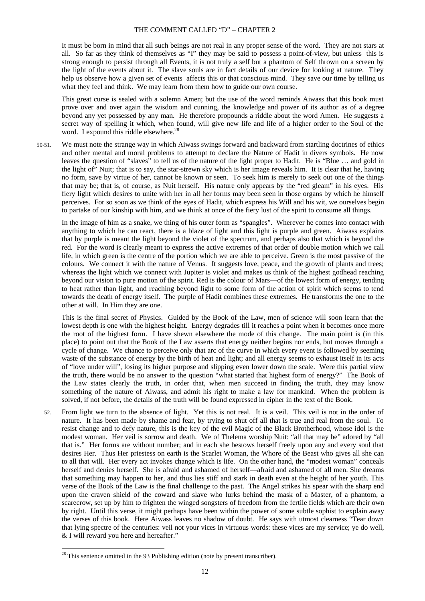It must be born in mind that all such beings are not real in any proper sense of the word. They are not stars at all. So far as they think of themselves as "I" they may be said to possess a point-of-view, but unless this is strong enough to persist through all Events, it is not truly a self but a phantom of Self thrown on a screen by the light of the events about it. The slave souls are in fact details of our device for looking at nature. They help us observe how a given set of events affects this or that conscious mind. They save our time by telling us what they feel and think. We may learn from them how to guide our own course.

This great curse is sealed with a solemn Amen; but the use of the word reminds Aiwass that this book must prove over and over again the wisdom and cunning, the knowledge and power of its author as of a degree beyond any yet possessed by any man. He therefore propounds a riddle about the word Amen. He suggests a secret way of spelling it which, when found, will give new life and life of a higher order to the Soul of the word. I expound this riddle elsewhere.<sup>28</sup>

50-51. We must note the strange way in which Aiwass swings forward and backward from startling doctrines of ethics and other mental and moral problems to attempt to declare the Nature of Hadit in divers symbols. He now leaves the question of "slaves" to tell us of the nature of the light proper to Hadit. He is "Blue … and gold in the light of" Nuit; that is to say, the star-strewn sky which is her image reveals him. It is clear that he, having no form, save by virtue of her, cannot be known or seen. To seek him is merely to seek out one of the things that may be; that is, of course, as Nuit herself. His nature only appears by the "red gleam" in his eyes. His fiery light which desires to unite with her in all her forms may been seen in those organs by which he himself perceives. For so soon as we think of the eyes of Hadit, which express his Will and his wit, we ourselves begin to partake of our kinship with him, and we think at once of the fiery lust of the spirit to consume all things.

In the image of him as a snake, we thing of his outer form as "spangles". Wherever he comes into contact with anything to which he can react, there is a blaze of light and this light is purple and green. Aiwass explains that by purple is meant the light beyond the violet of the spectrum, and perhaps also that which is beyond the red. For the word is clearly meant to express the active extremes of that order of double motion which we call life, in which green is the centre of the portion which we are able to perceive. Green is the most passive of the colours. We connect it with the nature of Venus. It suggests love, peace, and the growth of plants and trees; whereas the light which we connect with Jupiter is violet and makes us think of the highest godhead reaching beyond our vision to pure motion of the spirit. Red is the colour of Mars—of the lowest form of energy, tending to heat rather than light, and reaching beyond light to some form of the action of spirit which seems to tend towards the death of energy itself. The purple of Hadit combines these extremes. He transforms the one to the other at will. In Him they are one.

This is the final secret of Physics. Guided by the Book of the Law, men of science will soon learn that the lowest depth is one with the highest height. Energy degrades till it reaches a point when it becomes once more the root of the highest form. I have shewn elsewhere the mode of this change. The main point is (in this place) to point out that the Book of the Law asserts that energy neither begins nor ends, but moves through a cycle of change. We chance to perceive only that arc of the curve in which every event is followed by seeming waste of the substance of energy by the birth of heat and light; and all energy seems to exhaust itself in its acts of "love under will", losing its higher purpose and slipping even lower down the scale. Were this partial view the truth, there would be no answer to the question "what started that highest form of energy?" The Book of the Law states clearly the truth, in order that, when men succeed in finding the truth, they may know something of the nature of Aiwass, and admit his right to make a law for mankind. When the problem is solved, if not before, the details of the truth will be found expressed in cipher in the text of the Book.

52. From light we turn to the absence of light. Yet this is not real. It is a veil. This veil is not in the order of nature. It has been made by shame and fear, by trying to shut off all that is true and real from the soul. To resist change and to defy nature, this is the key of the evil Magic of the Black Brotherhood, whose idol is the modest woman. Her veil is sorrow and death. We of Thelema worship Nuit: "all that may be" adored by "all that is." Her forms are without number; and in each she bestows herself freely upon any and every soul that desires Her. Thus Her priestess on earth is the Scarlet Woman, the Whore of the Beast who gives all she can to all that will. Her every act invokes change which is life. On the other hand, the "modest woman" conceals herself and denies herself. She is afraid and ashamed of herself—afraid and ashamed of all men. She dreams that something may happen to her, and thus lies stiff and stark in death even at the height of her youth. This verse of the Book of the Law is the final challenge to the past. The Angel strikes his spear with the sharp end upon the craven shield of the coward and slave who lurks behind the mask of a Master, of a phantom, a scarecrow, set up by him to frighten the winged songsters of freedom from the fertile fields which are their own by right. Until this verse, it might perhaps have been within the power of some subtle sophist to explain away the verses of this book. Here Aiwass leaves no shadow of doubt. He says with utmost clearness "Tear down that lying spectre of the centuries: veil not your vices in virtuous words: these vices are my service; ye do well, & I will reward you here and hereafter."

 $28$  This sentence omitted in the 93 Publishing edition (note by present transcriber).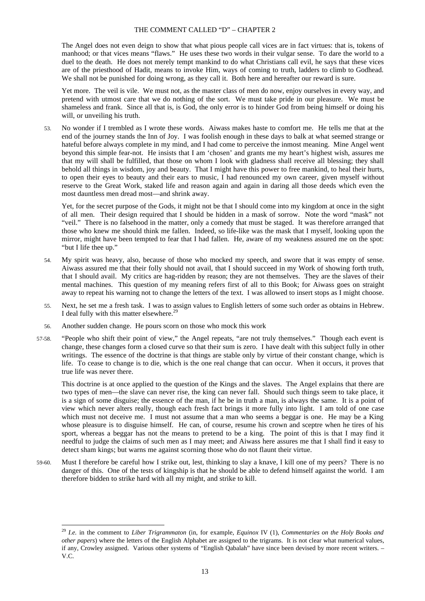The Angel does not even deign to show that what pious people call vices are in fact virtues: that is, tokens of manhood; or that vices means "flaws." He uses these two words in their vulgar sense. To dare the world to a duel to the death. He does not merely tempt mankind to do what Christians call evil, he says that these vices are of the priesthood of Hadit, means to invoke Him, ways of coming to truth, ladders to climb to Godhead. We shall not be punished for doing wrong, as they call it. Both here and hereafter our reward is sure.

Yet more. The veil is vile. We must not, as the master class of men do now, enjoy ourselves in every way, and pretend with utmost care that we do nothing of the sort. We must take pride in our pleasure. We must be shameless and frank. Since all that is, is God, the only error is to hinder God from being himself or doing his will, or unveiling his truth.

53. No wonder if I trembled as I wrote these words. Aiwass makes haste to comfort me. He tells me that at the end of the journey stands the Inn of Joy. I was foolish enough in these days to balk at what seemed strange or hateful before always complete in my mind, and I had come to perceive the inmost meaning. Mine Angel went beyond this simple fear-not. He insists that I am 'chosen' and grants me my heart's highest wish, assures me that my will shall be fulfilled, that those on whom I look with gladness shall receive all blessing; they shall behold all things in wisdom, joy and beauty. That I might have this power to free mankind, to heal their hurts, to open their eyes to beauty and their ears to music, I had renounced my own career, given myself without reserve to the Great Work, staked life and reason again and again in daring all those deeds which even the most dauntless men dread most—and shrink away.

Yet, for the secret purpose of the Gods, it might not be that I should come into my kingdom at once in the sight of all men. Their design required that I should be hidden in a mask of sorrow. Note the word "mask" not "veil." There is no falsehood in the matter, only a comedy that must be staged. It was therefore arranged that those who knew me should think me fallen. Indeed, so life-like was the mask that I myself, looking upon the mirror, might have been tempted to fear that I had fallen. He, aware of my weakness assured me on the spot: "but I life thee up."

- 54. My spirit was heavy, also, because of those who mocked my speech, and swore that it was empty of sense. Aiwass assured me that their folly should not avail, that I should succeed in my Work of showing forth truth, that I should avail. My critics are hag-ridden by reason; they are not themselves. They are the slaves of their mental machines. This question of my meaning refers first of all to this Book; for Aiwass goes on straight away to repeat his warning not to change the letters of the text. I was allowed to insert stops as I might choose.
- 55. Next, he set me a fresh task. I was to assign values to English letters of some such order as obtains in Hebrew. I deal fully with this matter elsewhere.<sup>29</sup>
- 56. Another sudden change. He pours scorn on those who mock this work

-

57-58. "People who shift their point of view," the Angel repeats, "are not truly themselves." Though each event is change, these changes form a closed curve so that their sum is zero. I have dealt with this subject fully in other writings. The essence of the doctrine is that things are stable only by virtue of their constant change, which is life. To cease to change is to die, which is the one real change that can occur. When it occurs, it proves that true life was never there.

This doctrine is at once applied to the question of the Kings and the slaves. The Angel explains that there are two types of men—the slave can never rise, the king can never fall. Should such things seem to take place, it is a sign of some disguise; the essence of the man, if he be in truth a man, is always the same. It is a point of view which never alters really, though each fresh fact brings it more fully into light. I am told of one case which must not deceive me. I must not assume that a man who seems a beggar is one. He may be a King whose pleasure is to disguise himself. He can, of course, resume his crown and sceptre when he tires of his sport, whereas a beggar has not the means to pretend to be a king. The point of this is that I may find it needful to judge the claims of such men as I may meet; and Aiwass here assures me that I shall find it easy to detect sham kings; but warns me against scorning those who do not flaunt their virtue.

59-60. Must I therefore be careful how I strike out, lest, thinking to slay a knave, I kill one of my peers? There is no danger of this. One of the tests of kingship is that he should be able to defend himself against the world. I am therefore bidden to strike hard with all my might, and strike to kill.

<sup>29</sup> *I.e.* in the comment to *Liber Trigrammaton* (in, for example, *Equinox* IV (1), *Commentaries on the Holy Books and other papers*) where the letters of the English Alphabet are assigned to the trigrams. It is not clear what numerical values, if any, Crowley assigned. Various other systems of "English Qabalah" have since been devised by more recent writers. – V.C.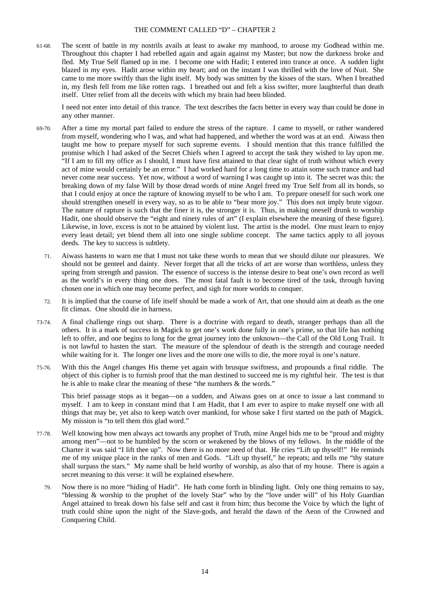61-68. The scent of battle in my nostrils avails at least to awake my manhood, to arouse my Godhead within me. Throughout this chapter I had rebelled again and again against my Master; but now the darkness broke and fled. My True Self flamed up in me. I become one with Hadit; I entered into trance at once. A sudden light blazed in my eyes. Hadit arose within my heart; and on the instant I was thrilled with the love of Nuit. She came to me more swiftly than the light itself. My body was smitten by the kisses of the stars. When I breathed in, my flesh fell from me like rotten rags. I breathed out and felt a kiss swifter, more laughterful than death itself. Utter relief from all the deceits with which my brain had been blinded.

I need not enter into detail of this trance. The text describes the facts better in every way than could be done in any other manner.

- 69-70. After a time my mortal part failed to endure the stress of the rapture. I came to myself, or rather wandered from myself, wondering who I was, and what had happened, and whether the word was at an end. Aiwass then taught me how to prepare myself for such supreme events. I should mention that this trance fulfilled the promise which I had asked of the Secret Chiefs when I agreed to accept the task they wished to lay upon me. "If I am to fill my office as I should, I must have first attained to that clear sight of truth without which every act of mine would certainly be an error." I had worked hard for a long time to attain some such trance and had never come near success. Yet now, without a word of warning I was caught up into it. The secret was this: the breaking down of my false Will by those dread words of mine Angel freed my True Self from all its bonds, so that I could enjoy at once the rapture of knowing myself to be who I am. To prepare oneself for such work one should strengthen oneself in every way, so as to be able to "bear more joy." This does not imply brute vigour. The nature of rapture is such that the finer it is, the stronger it is. Thus, in making oneself drunk to worship Hadit, one should observe the "eight and ninety rules of art" (I explain elsewhere the meaning of these figure). Likewise, in love, excess is not to be attained by violent lust. The artist is the model. One must learn to enjoy every least detail; yet blend them all into one single sublime concept. The same tactics apply to all joyous deeds. The key to success is subtlety.
	- 71. Aiwass hastens to warn me that I must not take these words to mean that we should dilute our pleasures. We should not be genteel and dainty. Never forget that all the tricks of art are worse than worthless, unless they spring from strength and passion. The essence of success is the intense desire to beat one's own record as well as the world's in every thing one does. The most fatal fault is to become tired of the task, through having chosen one in which one may become perfect, and sigh for more worlds to conquer.
	- 72. It is implied that the course of life itself should be made a work of Art, that one should aim at death as the one fit climax. One should die in harness.
- 73-74. A final challenge rings out sharp. There is a doctrine with regard to death, stranger perhaps than all the others. It is a mark of success in Magick to get one's work done fully in one's prime, so that life has nothing left to offer, and one begins to long for the great journey into the unknown—the Call of the Old Long Trail. It is not lawful to hasten the start. The measure of the splendour of death is the strength and courage needed while waiting for it. The longer one lives and the more one wills to die, the more royal is one's nature.
- 75-76. With this the Angel changes His theme yet again with brusque swiftness, and propounds a final riddle. The object of this cipher is to furnish proof that the man destined to succeed me is my rightful heir. The test is that he is able to make clear the meaning of these "the numbers & the words."

This brief passage stops as it began—on a sudden, and Aiwass goes on at once to issue a last command to myself. I am to keep in constant mind that I am Hadit, that I am ever to aspire to make myself one with all things that may be, yet also to keep watch over mankind, for whose sake I first started on the path of Magick. My mission is "to tell them this glad word."

- 77-78. Well knowing how men always act towards any prophet of Truth, mine Angel bids me to be "proud and mighty among men"—not to be humbled by the scorn or weakened by the blows of my fellows. In the middle of the Charter it was said "I lift thee up". Now there is no more need of that. He cries "Lift up thyself!" He reminds me of my unique place in the ranks of men and Gods. "Lift up thyself," he repeats; and tells me "thy stature shall surpass the stars." My name shall be held worthy of worship, as also that of my house. There is again a secret meaning to this verse: it will be explained elsewhere.
	- 79. Now there is no more "hiding of Hadit". He hath come forth in blinding light. Only one thing remains to say, "blessing & worship to the prophet of the lovely Star" who by the "love under will" of his Holy Guardian Angel attained to break down his false self and cast it from him; thus become the Voice by which the light of truth could shine upon the night of the Slave-gods, and herald the dawn of the Aeon of the Crowned and Conquering Child.